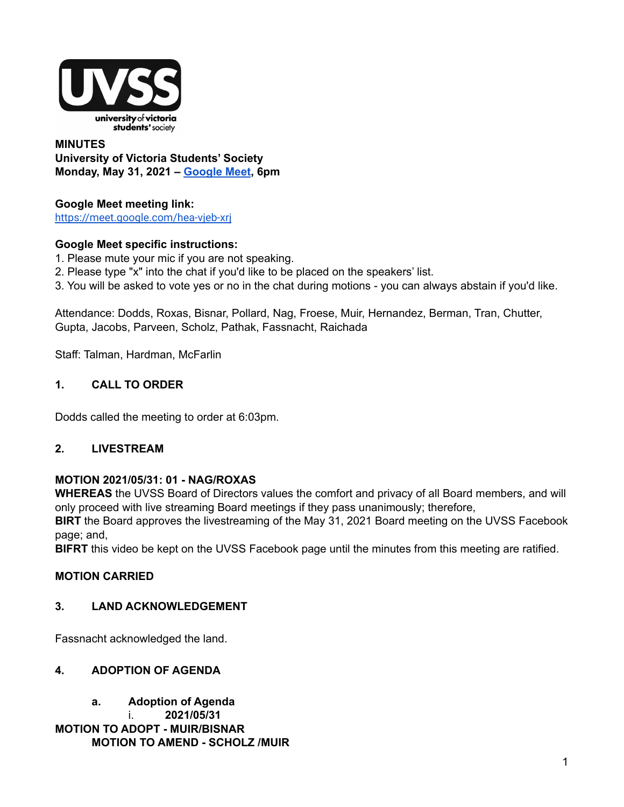

#### **MINUTES University of Victoria Students' Society Monday, May 31, 2021 – [Google](https://meet.google.com/hea-vjeb-xrj) Meet, 6pm**

# **Google Meet meeting link:**

<https://meet.google.com/hea-vjeb-xrj>

# **Google Meet specific instructions:**

- 1. Please mute your mic if you are not speaking.
- 2. Please type "x" into the chat if you'd like to be placed on the speakers' list.
- 3. You will be asked to vote yes or no in the chat during motions you can always abstain if you'd like.

Attendance: Dodds, Roxas, Bisnar, Pollard, Nag, Froese, Muir, Hernandez, Berman, Tran, Chutter, Gupta, Jacobs, Parveen, Scholz, Pathak, Fassnacht, Raichada

Staff: Talman, Hardman, McFarlin

# **1. CALL TO ORDER**

Dodds called the meeting to order at 6:03pm.

# **2. LIVESTREAM**

#### **MOTION 2021/05/31: 01 - NAG/ROXAS**

**WHEREAS** the UVSS Board of Directors values the comfort and privacy of all Board members, and will only proceed with live streaming Board meetings if they pass unanimously; therefore,

**BIRT** the Board approves the livestreaming of the May 31, 2021 Board meeting on the UVSS Facebook page; and,

**BIFRT** this video be kept on the UVSS Facebook page until the minutes from this meeting are ratified.

# **MOTION CARRIED**

#### **3. LAND ACKNOWLEDGEMENT**

Fassnacht acknowledged the land.

# **4. ADOPTION OF AGENDA**

**a. Adoption of Agenda** i. **2021/05/31 MOTION TO ADOPT - MUIR/BISNAR MOTION TO AMEND - SCHOLZ /MUIR**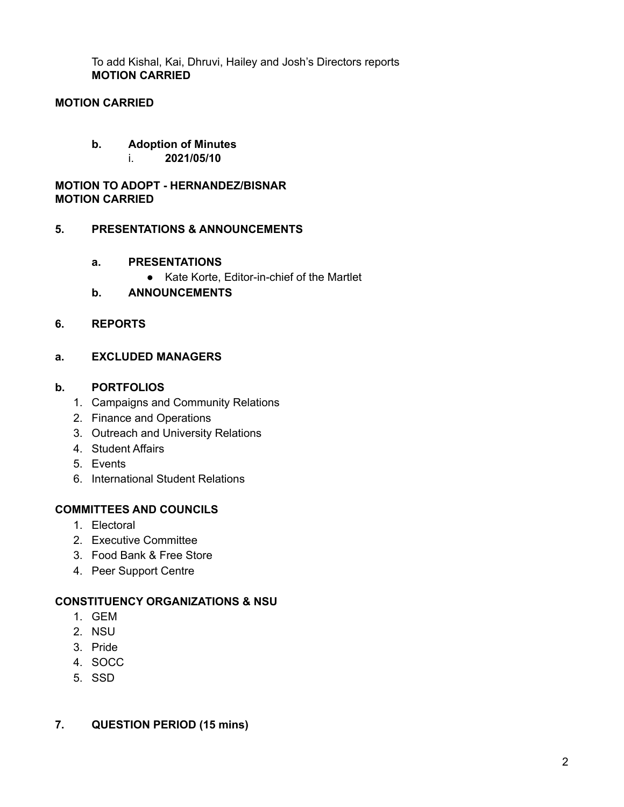To add Kishal, Kai, Dhruvi, Hailey and Josh's Directors reports **MOTION CARRIED**

# **MOTION CARRIED**

## **b. Adoption of Minutes**

i. **2021/05/10**

## **MOTION TO ADOPT - HERNANDEZ/BISNAR MOTION CARRIED**

#### **5. PRESENTATIONS & ANNOUNCEMENTS**

#### **a. PRESENTATIONS**

- Kate Korte, Editor-in-chief of the Martlet
- **b. ANNOUNCEMENTS**

#### **6. REPORTS**

#### **a. EXCLUDED MANAGERS**

#### **b. PORTFOLIOS**

- 1. Campaigns and Community Relations
- 2. Finance and Operations
- 3. Outreach and University Relations
- 4. Student Affairs
- 5. Events
- 6. International Student Relations

#### **COMMITTEES AND COUNCILS**

- 1. Electoral
- 2. Executive Committee
- 3. Food Bank & Free Store
- 4. Peer Support Centre

#### **CONSTITUENCY ORGANIZATIONS & NSU**

- 1. GEM
- 2. NSU
- 3. Pride
- 4. SOCC
- 5. SSD

#### **7. QUESTION PERIOD (15 mins)**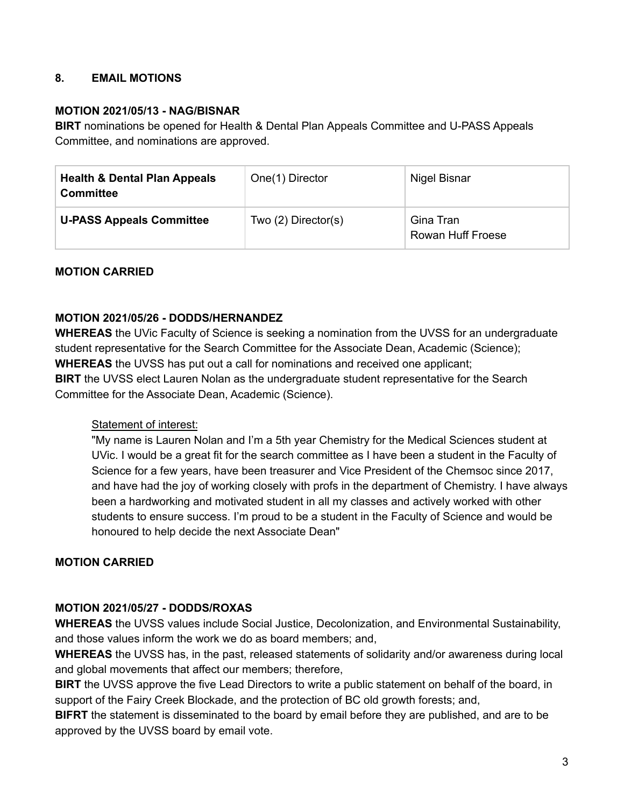# **8. EMAIL MOTIONS**

#### **MOTION 2021/05/13 - NAG/BISNAR**

**BIRT** nominations be opened for Health & Dental Plan Appeals Committee and U-PASS Appeals Committee, and nominations are approved.

| <b>Health &amp; Dental Plan Appeals</b><br><b>Committee</b> | One(1) Director          | Nigel Bisnar                          |
|-------------------------------------------------------------|--------------------------|---------------------------------------|
| <b>U-PASS Appeals Committee</b>                             | Two $(2)$ Director $(s)$ | Gina Tran<br><b>Rowan Huff Froese</b> |

#### **MOTION CARRIED**

#### **MOTION 2021/05/26 - DODDS/HERNANDEZ**

**WHEREAS** the UVic Faculty of Science is seeking a nomination from the UVSS for an undergraduate student representative for the Search Committee for the Associate Dean, Academic (Science); **WHEREAS** the UVSS has put out a call for nominations and received one applicant; **BIRT** the UVSS elect Lauren Nolan as the undergraduate student representative for the Search Committee for the Associate Dean, Academic (Science).

#### Statement of interest:

"My name is Lauren Nolan and I'm a 5th year Chemistry for the Medical Sciences student at UVic. I would be a great fit for the search committee as I have been a student in the Faculty of Science for a few years, have been treasurer and Vice President of the Chemsoc since 2017, and have had the joy of working closely with profs in the department of Chemistry. I have always been a hardworking and motivated student in all my classes and actively worked with other students to ensure success. I'm proud to be a student in the Faculty of Science and would be honoured to help decide the next Associate Dean"

#### **MOTION CARRIED**

#### **MOTION 2021/05/27 - DODDS/ROXAS**

**WHEREAS** the UVSS values include Social Justice, Decolonization, and Environmental Sustainability, and those values inform the work we do as board members; and,

**WHEREAS** the UVSS has, in the past, released statements of solidarity and/or awareness during local and global movements that affect our members; therefore,

**BIRT** the UVSS approve the five Lead Directors to write a public statement on behalf of the board, in support of the Fairy Creek Blockade, and the protection of BC old growth forests; and,

**BIFRT** the statement is disseminated to the board by email before they are published, and are to be approved by the UVSS board by email vote.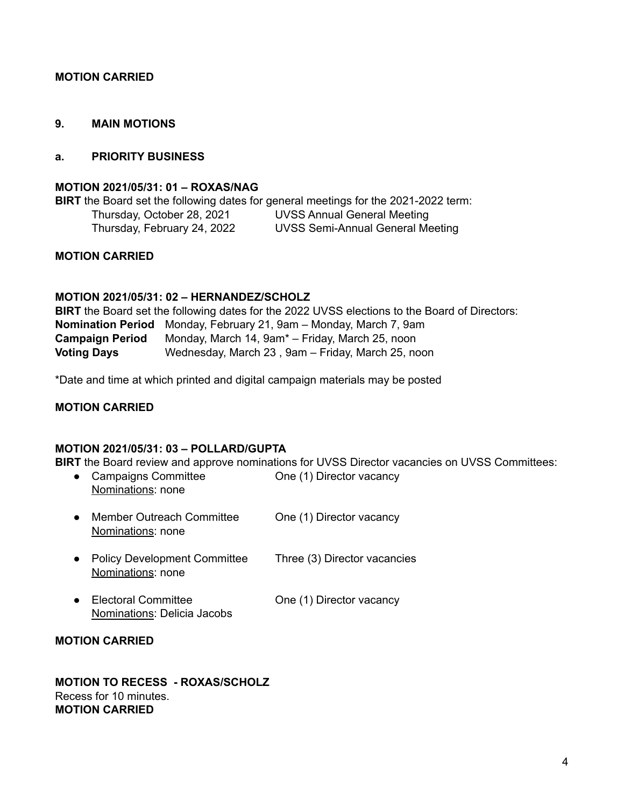#### **MOTION CARRIED**

#### **9. MAIN MOTIONS**

#### **a. PRIORITY BUSINESS**

#### **MOTION 2021/05/31: 01 – ROXAS/NAG**

**BIRT** the Board set the following dates for general meetings for the 2021-2022 term: Thursday, October 28, 2021 UVSS Annual General Meeting Thursday, February 24, 2022 UVSS Semi-Annual General Meeting

#### **MOTION CARRIED**

#### **MOTION 2021/05/31: 02 – HERNANDEZ/SCHOLZ**

**BIRT** the Board set the following dates for the 2022 UVSS elections to the Board of Directors: **Nomination Period** Monday, February 21, 9am – Monday, March 7, 9am **Campaign Period** Monday, March 14, 9am\* – Friday, March 25, noon **Voting Days** Wednesday, March 23 , 9am – Friday, March 25, noon

\*Date and time at which printed and digital campaign materials may be posted

#### **MOTION CARRIED**

#### **MOTION 2021/05/31: 03 – POLLARD/GUPTA**

**BIRT** the Board review and approve nominations for UVSS Director vacancies on UVSS Committees:

|           | <b>Campaigns Committee</b><br>Nominations: none           | One (1) Director vacancy     |
|-----------|-----------------------------------------------------------|------------------------------|
| $\bullet$ | <b>Member Outreach Committee</b><br>Nominations: none     | One (1) Director vacancy     |
|           | <b>Policy Development Committee</b><br>Nominations: none  | Three (3) Director vacancies |
|           | <b>Electoral Committee</b><br>Nominations: Delicia Jacobs | One (1) Director vacancy     |

#### **MOTION CARRIED**

**MOTION TO RECESS - ROXAS/SCHOLZ** Recess for 10 minutes. **MOTION CARRIED**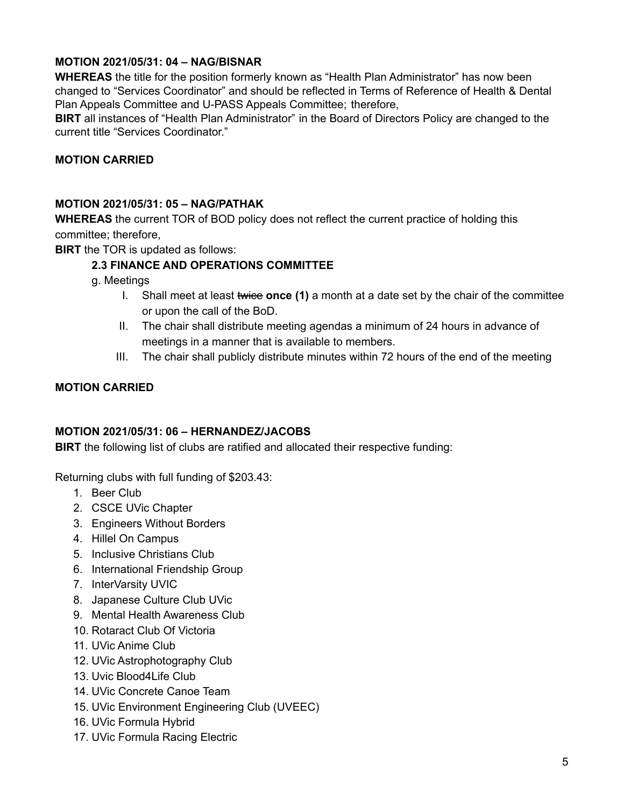# **MOTION 2021/05/31: 04 – NAG/BISNAR**

**WHEREAS** the title for the position formerly known as "Health Plan Administrator" has now been changed to "Services Coordinator" and should be reflected in Terms of Reference of Health & Dental Plan Appeals Committee and U-PASS Appeals Committee; therefore,

**BIRT** all instances of "Health Plan Administrator" in the Board of Directors Policy are changed to the current title "Services Coordinator."

# **MOTION CARRIED**

## **MOTION 2021/05/31: 05 – NAG/PATHAK**

**WHEREAS** the current TOR of BOD policy does not reflect the current practice of holding this committee; therefore,

**BIRT** the TOR is updated as follows:

# **2.3 FINANCE AND OPERATIONS COMMITTEE**

- g. Meetings
	- I. Shall meet at least twice **once (1)** a month at a date set by the chair of the committee or upon the call of the BoD.
	- II. The chair shall distribute meeting agendas a minimum of 24 hours in advance of meetings in a manner that is available to members.
	- III. The chair shall publicly distribute minutes within 72 hours of the end of the meeting

# **MOTION CARRIED**

#### **MOTION 2021/05/31: 06 – HERNANDEZ/JACOBS**

**BIRT** the following list of clubs are ratified and allocated their respective funding:

Returning clubs with full funding of \$203.43:

- 1. Beer Club
- 2. CSCE UVic Chapter
- 3. Engineers Without Borders
- 4. Hillel On Campus
- 5. Inclusive Christians Club
- 6. International Friendship Group
- 7. InterVarsity UVIC
- 8. Japanese Culture Club UVic
- 9. Mental Health Awareness Club
- 10. Rotaract Club Of Victoria
- 11. UVic Anime Club
- 12. UVic Astrophotography Club
- 13. Uvic Blood4Life Club
- 14. UVic Concrete Canoe Team
- 15. UVic Environment Engineering Club (UVEEC)
- 16. UVic Formula Hybrid
- 17. UVic Formula Racing Electric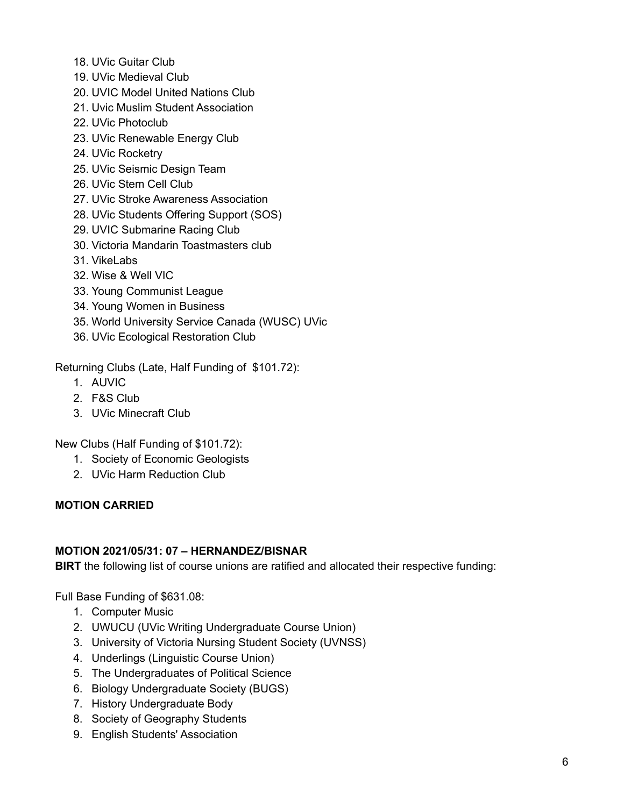- 18. UVic Guitar Club
- 19. UVic Medieval Club
- 20. UVIC Model United Nations Club
- 21. Uvic Muslim Student Association
- 22. UVic Photoclub
- 23. UVic Renewable Energy Club
- 24. UVic Rocketry
- 25. UVic Seismic Design Team
- 26. UVic Stem Cell Club
- 27. UVic Stroke Awareness Association
- 28. UVic Students Offering Support (SOS)
- 29. UVIC Submarine Racing Club
- 30. Victoria Mandarin Toastmasters club
- 31. VikeLabs
- 32. Wise & Well VIC
- 33. Young Communist League
- 34. Young Women in Business
- 35. World University Service Canada (WUSC) UVic
- 36. UVic Ecological Restoration Club

Returning Clubs (Late, Half Funding of \$101.72):

- 1. AUVIC
- 2. F&S Club
- 3. UVic Minecraft Club

New Clubs (Half Funding of \$101.72):

- 1. Society of Economic Geologists
- 2. UVic Harm Reduction Club

#### **MOTION CARRIED**

## **MOTION 2021/05/31: 07 – HERNANDEZ/BISNAR**

**BIRT** the following list of course unions are ratified and allocated their respective funding:

Full Base Funding of \$631.08:

- 1. Computer Music
- 2. UWUCU (UVic Writing Undergraduate Course Union)
- 3. University of Victoria Nursing Student Society (UVNSS)
- 4. Underlings (Linguistic Course Union)
- 5. The Undergraduates of Political Science
- 6. Biology Undergraduate Society (BUGS)
- 7. History Undergraduate Body
- 8. Society of Geography Students
- 9. English Students' Association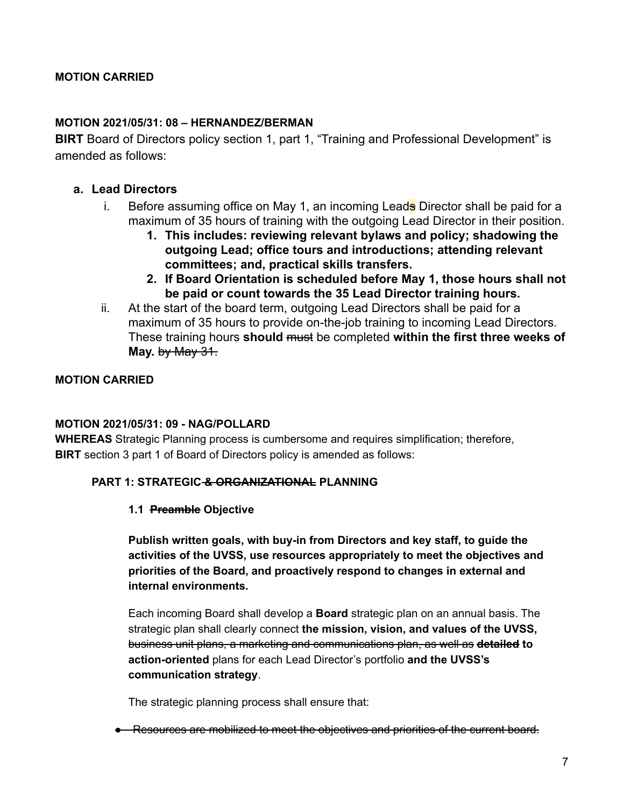# **MOTION CARRIED**

#### **MOTION 2021/05/31: 08 – HERNANDEZ/BERMAN**

**BIRT** Board of Directors policy section 1, part 1, "Training and Professional Development" is amended as follows:

#### **a. Lead Directors**

- i. Before assuming office on May 1, an incoming Leads Director shall be paid for a maximum of 35 hours of training with the outgoing Lead Director in their position.
	- **1. This includes: reviewing relevant bylaws and policy; shadowing the outgoing Lead; office tours and introductions; attending relevant committees; and, practical skills transfers.**
	- **2. If Board Orientation is scheduled before May 1, those hours shall not be paid or count towards the 35 Lead Director training hours.**
- ii. At the start of the board term, outgoing Lead Directors shall be paid for a maximum of 35 hours to provide on-the-job training to incoming Lead Directors. These training hours **should** must be completed **within the first three weeks of May.** by May 31.

#### **MOTION CARRIED**

#### **MOTION 2021/05/31: 09 - NAG/POLLARD**

**WHEREAS** Strategic Planning process is cumbersome and requires simplification; therefore, **BIRT** section 3 part 1 of Board of Directors policy is amended as follows:

#### **PART 1: STRATEGIC & ORGANIZATIONAL PLANNING**

#### **1.1 Preamble Objective**

**Publish written goals, with buy-in from Directors and key staff, to guide the activities of the UVSS, use resources appropriately to meet the objectives and priorities of the Board, and proactively respond to changes in external and internal environments.**

Each incoming Board shall develop a **Board** strategic plan on an annual basis. The strategic plan shall clearly connect **the mission, vision, and values of the UVSS,** business unit plans, a marketing and communications plan, as well as **detailed to action-oriented** plans for each Lead Director's portfolio **and the UVSS's communication strategy**.

The strategic planning process shall ensure that:

● Resources are mobilized to meet the objectives and priorities of the current board.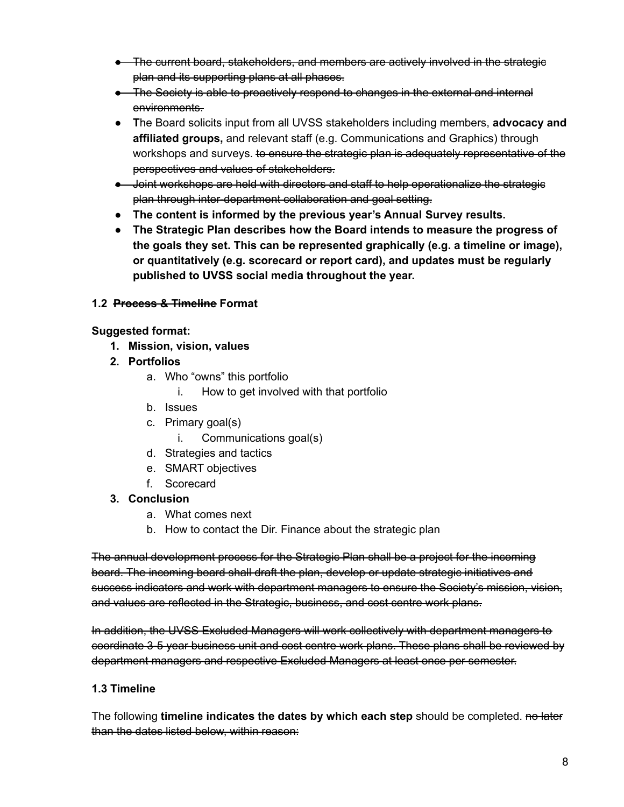- The current board, stakeholders, and members are actively involved in the strategic plan and its supporting plans at all phases.
- The Society is able to proactively respond to changes in the external and internal environments.
- **T**he Board solicits input from all UVSS stakeholders including members, **advocacy and affiliated groups,** and relevant staff (e.g. Communications and Graphics) through workshops and surveys. to ensure the strategic plan is adequately representative of the perspectives and values of stakeholders.
- Joint workshops are held with directors and staff to help operationalize the strategic plan through inter-department collaboration and goal setting.
- **● The content is informed by the previous year's Annual Survey results.**
- **● The Strategic Plan describes how the Board intends to measure the progress of the goals they set. This can be represented graphically (e.g. a timeline or image), or quantitatively (e.g. scorecard or report card), and updates must be regularly published to UVSS social media throughout the year.**

# **1.2 Process & Timeline Format**

# **Suggested format:**

- **1. Mission, vision, values**
- **2. Portfolios**
	- a. Who "owns" this portfolio
		- i. How to get involved with that portfolio
	- b. Issues
	- c. Primary goal(s)
		- i. Communications goal(s)
	- d. Strategies and tactics
	- e. SMART objectives
	- f. Scorecard

# **3. Conclusion**

- a. What comes next
- b. How to contact the Dir. Finance about the strategic plan

The annual development process for the Strategic Plan shall be a project for the incoming board. The incoming board shall draft the plan, develop or update strategic initiatives and success indicators and work with department managers to ensure the Society's mission, vision, and values are reflected in the Strategic, business, and cost centre work plans.

In addition, the UVSS Excluded Managers will work collectively with department managers to coordinate 3-5 year business unit and cost centre work plans. These plans shall be reviewed by department managers and respective Excluded Managers at least once per semester.

# **1.3 Timeline**

The following **timeline indicates the dates by which each step** should be completed. no later than the dates listed below, within reason: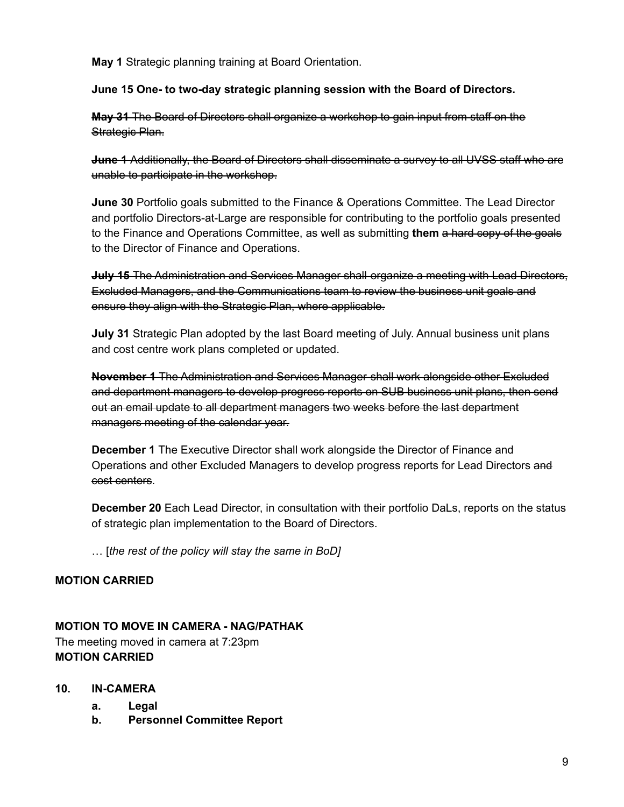**May 1** Strategic planning training at Board Orientation.

## **June 15 One- to two-day strategic planning session with the Board of Directors.**

**May 31** The Board of Directors shall organize a workshop to gain input from staff on the Strategic Plan.

**June 1** Additionally, the Board of Directors shall disseminate a survey to all UVSS staff who are unable to participate in the workshop.

**June 30** Portfolio goals submitted to the Finance & Operations Committee. The Lead Director and portfolio Directors-at-Large are responsible for contributing to the portfolio goals presented to the Finance and Operations Committee, as well as submitting **them** a hard copy of the goals to the Director of Finance and Operations.

**July 15** The Administration and Services Manager shall organize a meeting with Lead Directors, Excluded Managers, and the Communications team to review the business unit goals and ensure they align with the Strategic Plan, where applicable.

**July 31** Strategic Plan adopted by the last Board meeting of July. Annual business unit plans and cost centre work plans completed or updated.

**November 1** The Administration and Services Manager shall work alongside other Excluded and department managers to develop progress reports on SUB business unit plans, then send out an email update to all department managers two weeks before the last department managers meeting of the calendar year.

**December 1** The Executive Director shall work alongside the Director of Finance and Operations and other Excluded Managers to develop progress reports for Lead Directors and cost centers.

**December 20** Each Lead Director, in consultation with their portfolio DaLs, reports on the status of strategic plan implementation to the Board of Directors.

… [*the rest of the policy will stay the same in BoD]*

# **MOTION CARRIED**

# **MOTION TO MOVE IN CAMERA - NAG/PATHAK**

The meeting moved in camera at 7:23pm **MOTION CARRIED**

#### **10. IN-CAMERA**

- **a. Legal**
- **b. Personnel Committee Report**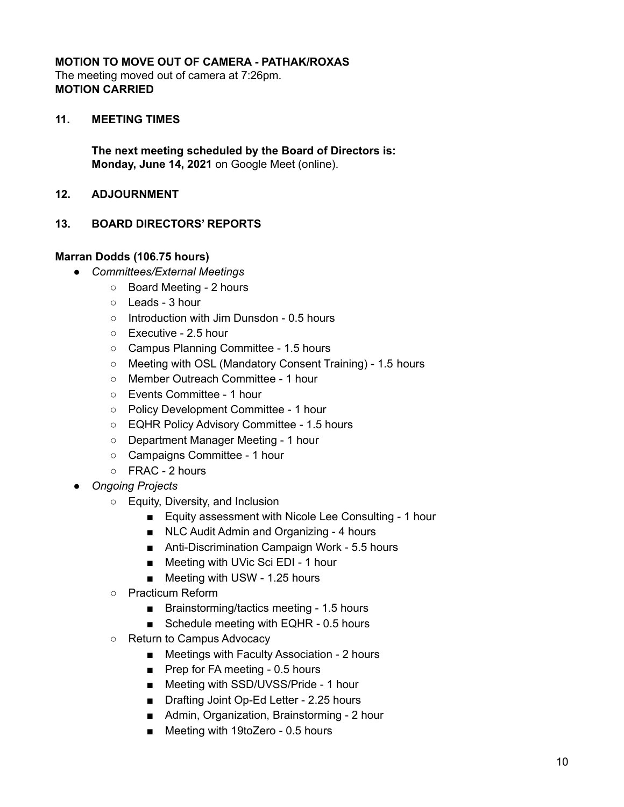# **MOTION TO MOVE OUT OF CAMERA - PATHAK/ROXAS**

The meeting moved out of camera at 7:26pm. **MOTION CARRIED**

## **11. MEETING TIMES**

**The next meeting scheduled by the Board of Directors is: Monday, June 14, 2021** on Google Meet (online).

**12. ADJOURNMENT**

## **13. BOARD DIRECTORS' REPORTS**

#### **Marran Dodds (106.75 hours)**

- *Committees/External Meetings*
	- Board Meeting 2 hours
	- Leads 3 hour
	- Introduction with Jim Dunsdon 0.5 hours
	- Executive 2.5 hour
	- Campus Planning Committee 1.5 hours
	- Meeting with OSL (Mandatory Consent Training) 1.5 hours
	- Member Outreach Committee 1 hour
	- Events Committee 1 hour
	- Policy Development Committee 1 hour
	- EQHR Policy Advisory Committee 1.5 hours
	- Department Manager Meeting 1 hour
	- Campaigns Committee 1 hour
	- FRAC 2 hours
- *Ongoing Projects*
	- Equity, Diversity, and Inclusion
		- Equity assessment with Nicole Lee Consulting 1 hour
		- NLC Audit Admin and Organizing 4 hours
		- Anti-Discrimination Campaign Work 5.5 hours
		- Meeting with UVic Sci EDI 1 hour
		- Meeting with USW 1.25 hours
	- Practicum Reform
		- Brainstorming/tactics meeting 1.5 hours
		- Schedule meeting with EQHR 0.5 hours
	- Return to Campus Advocacy
		- Meetings with Faculty Association 2 hours
		- Prep for FA meeting 0.5 hours
		- Meeting with SSD/UVSS/Pride 1 hour
		- Drafting Joint Op-Ed Letter 2.25 hours
		- Admin, Organization, Brainstorming 2 hour
		- Meeting with 19toZero 0.5 hours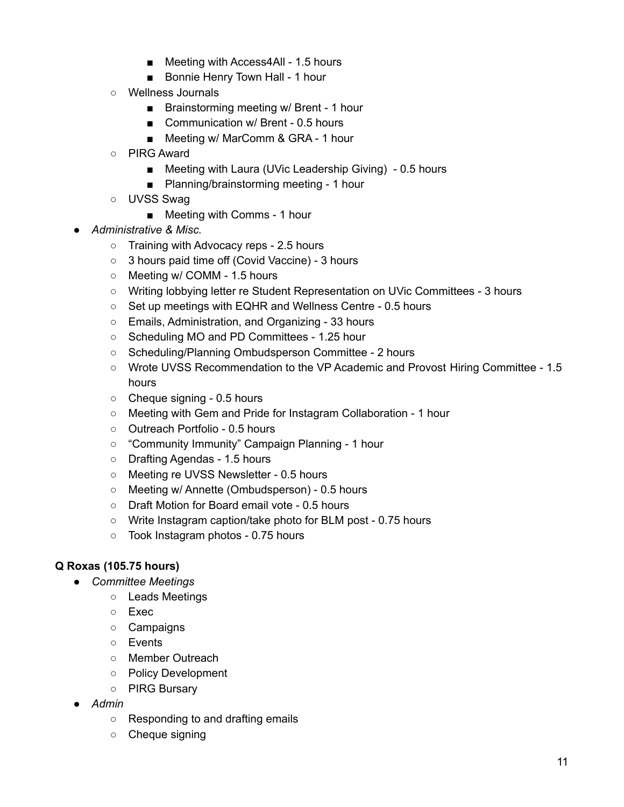- Meeting with Access4All 1.5 hours
- Bonnie Henry Town Hall 1 hour
- Wellness Journals
	- Brainstorming meeting w/ Brent 1 hour
	- Communication w/ Brent 0.5 hours
	- Meeting w/ MarComm & GRA 1 hour
- PIRG Award
	- Meeting with Laura (UVic Leadership Giving) 0.5 hours
	- Planning/brainstorming meeting 1 hour
- UVSS Swag
	- Meeting with Comms 1 hour
- *Administrative & Misc.*
	- Training with Advocacy reps 2.5 hours
	- 3 hours paid time off (Covid Vaccine) 3 hours
	- Meeting w/ COMM 1.5 hours
	- Writing lobbying letter re Student Representation on UVic Committees 3 hours
	- Set up meetings with EQHR and Wellness Centre 0.5 hours
	- Emails, Administration, and Organizing 33 hours
	- Scheduling MO and PD Committees 1.25 hour
	- Scheduling/Planning Ombudsperson Committee 2 hours
	- Wrote UVSS Recommendation to the VP Academic and Provost Hiring Committee 1.5 hours
	- Cheque signing 0.5 hours
	- Meeting with Gem and Pride for Instagram Collaboration 1 hour
	- Outreach Portfolio 0.5 hours
	- "Community Immunity" Campaign Planning 1 hour
	- Drafting Agendas 1.5 hours
	- Meeting re UVSS Newsletter 0.5 hours
	- Meeting w/ Annette (Ombudsperson) 0.5 hours
	- Draft Motion for Board email vote 0.5 hours
	- Write Instagram caption/take photo for BLM post 0.75 hours
	- Took Instagram photos 0.75 hours

# **Q Roxas (105.75 hours)**

- *● Committee Meetings*
	- Leads Meetings
	- Exec
	- Campaigns
	- Events
	- Member Outreach
	- Policy Development
	- PIRG Bursary
- *● Admin*
	- Responding to and drafting emails
	- Cheque signing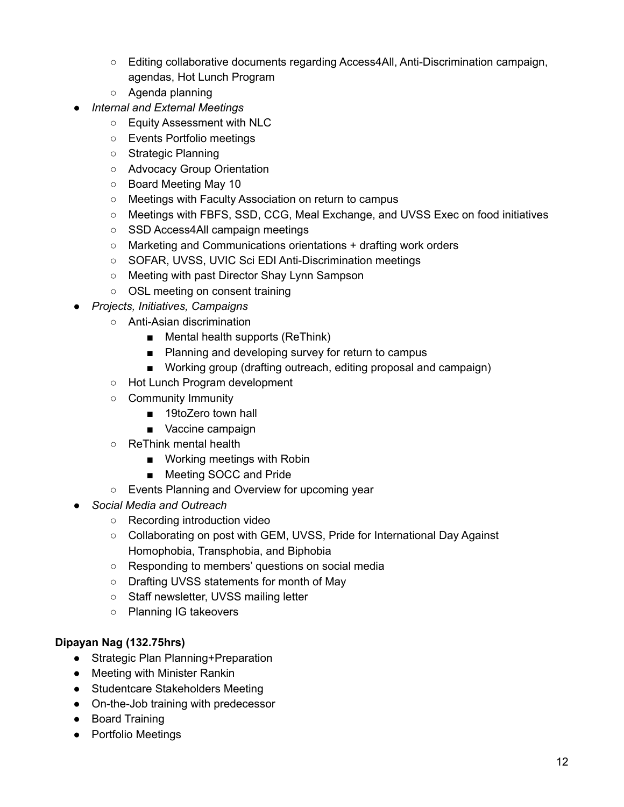- Editing collaborative documents regarding Access4All, Anti-Discrimination campaign, agendas, Hot Lunch Program
- Agenda planning
- *● Internal and External Meetings*
	- Equity Assessment with NLC
	- Events Portfolio meetings
	- Strategic Planning
	- Advocacy Group Orientation
	- Board Meeting May 10
	- Meetings with Faculty Association on return to campus
	- Meetings with FBFS, SSD, CCG, Meal Exchange, and UVSS Exec on food initiatives
	- SSD Access4All campaign meetings
	- Marketing and Communications orientations + drafting work orders
	- SOFAR, UVSS, UVIC Sci EDI Anti-Discrimination meetings
	- Meeting with past Director Shay Lynn Sampson
	- OSL meeting on consent training
- *● Projects, Initiatives, Campaigns*
	- Anti-Asian discrimination
		- Mental health supports (ReThink)
		- Planning and developing survey for return to campus
		- Working group (drafting outreach, editing proposal and campaign)
	- Hot Lunch Program development
	- Community Immunity
		- 19toZero town hall
		- Vaccine campaign
	- ReThink mental health
		- Working meetings with Robin
		- Meeting SOCC and Pride
	- Events Planning and Overview for upcoming year
- *● Social Media and Outreach*
	- Recording introduction video
	- Collaborating on post with GEM, UVSS, Pride for International Day Against Homophobia, Transphobia, and Biphobia
	- Responding to members' questions on social media
	- Drafting UVSS statements for month of May
	- Staff newsletter, UVSS mailing letter
	- Planning IG takeovers

# **Dipayan Nag (132.75hrs)**

- Strategic Plan Planning+Preparation
- Meeting with Minister Rankin
- Studentcare Stakeholders Meeting
- On-the-Job training with predecessor
- Board Training
- Portfolio Meetings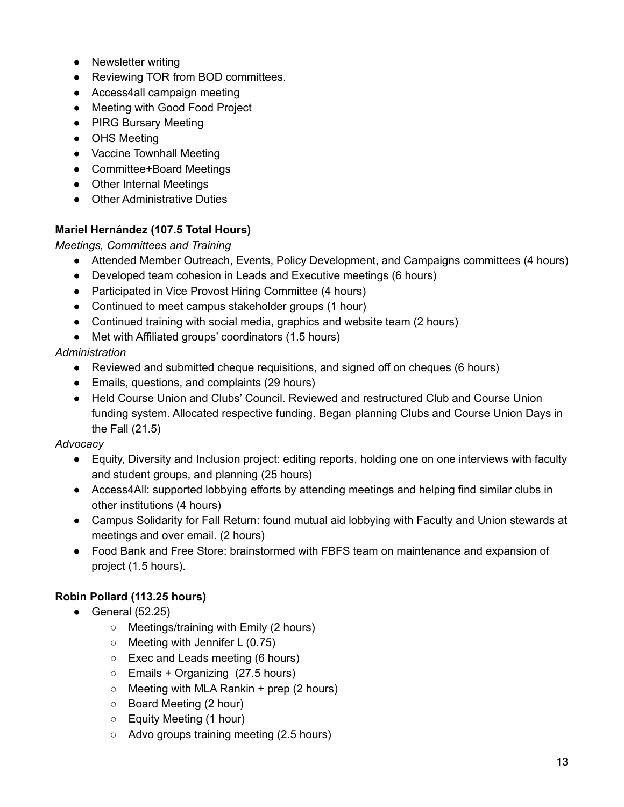- Newsletter writing
- Reviewing TOR from BOD committees.
- Access4all campaign meeting
- Meeting with Good Food Project
- PIRG Bursary Meeting
- OHS Meeting
- Vaccine Townhall Meeting
- Committee+Board Meetings
- Other Internal Meetings
- Other Administrative Duties

# **Mariel Hernández (107.5 Total Hours)**

*Meetings, Committees and Training*

- Attended Member Outreach, Events, Policy Development, and Campaigns committees (4 hours)
- Developed team cohesion in Leads and Executive meetings (6 hours)
- Participated in Vice Provost Hiring Committee (4 hours)
- Continued to meet campus stakeholder groups (1 hour)
- Continued training with social media, graphics and website team (2 hours)
- Met with Affiliated groups' coordinators (1.5 hours)

# *Administration*

- Reviewed and submitted cheque requisitions, and signed off on cheques (6 hours)
- Emails, questions, and complaints (29 hours)
- Held Course Union and Clubs' Council. Reviewed and restructured Club and Course Union funding system. Allocated respective funding. Began planning Clubs and Course Union Days in the Fall (21.5)

# *Advocacy*

- Equity, Diversity and Inclusion project: editing reports, holding one on one interviews with faculty and student groups, and planning (25 hours)
- Access4All: supported lobbying efforts by attending meetings and helping find similar clubs in other institutions (4 hours)
- Campus Solidarity for Fall Return: found mutual aid lobbying with Faculty and Union stewards at meetings and over email. (2 hours)
- Food Bank and Free Store: brainstormed with FBFS team on maintenance and expansion of project (1.5 hours).

# **Robin Pollard (113.25 hours)**

- $\bullet$  General (52.25)
	- Meetings/training with Emily (2 hours)
	- Meeting with Jennifer L (0.75)
	- Exec and Leads meeting (6 hours)
	- Emails + Organizing (27.5 hours)
	- $\circ$  Meeting with MLA Rankin + prep (2 hours)
	- Board Meeting (2 hour)
	- Equity Meeting (1 hour)
	- Advo groups training meeting (2.5 hours)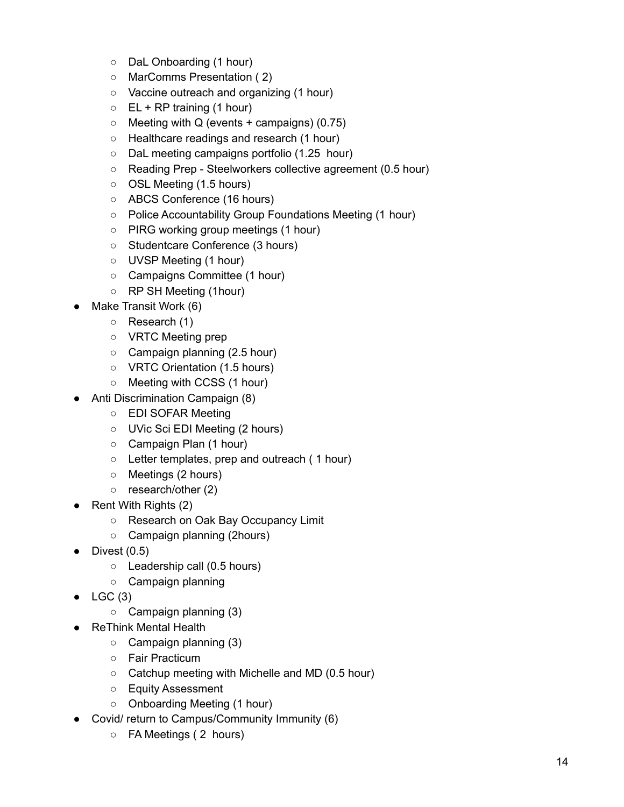- DaL Onboarding (1 hour)
- MarComms Presentation ( 2)
- Vaccine outreach and organizing (1 hour)
- $\circ$  EL + RP training (1 hour)
- $\circ$  Meeting with Q (events + campaigns) (0.75)
- Healthcare readings and research (1 hour)
- DaL meeting campaigns portfolio (1.25 hour)
- Reading Prep Steelworkers collective agreement (0.5 hour)
- OSL Meeting (1.5 hours)
- ABCS Conference (16 hours)
- Police Accountability Group Foundations Meeting (1 hour)
- PIRG working group meetings (1 hour)
- Studentcare Conference (3 hours)
- UVSP Meeting (1 hour)
- Campaigns Committee (1 hour)
- RP SH Meeting (1hour)
- Make Transit Work (6)
	- Research (1)
	- VRTC Meeting prep
	- Campaign planning (2.5 hour)
	- VRTC Orientation (1.5 hours)
	- Meeting with CCSS (1 hour)
- Anti Discrimination Campaign (8)
	- EDI SOFAR Meeting
	- UVic Sci EDI Meeting (2 hours)
	- Campaign Plan (1 hour)
	- Letter templates, prep and outreach ( 1 hour)
	- Meetings (2 hours)
	- research/other (2)
- $\bullet$  Rent With Rights (2)
	- Research on Oak Bay Occupancy Limit
	- Campaign planning (2hours)
- $\bullet$  Divest (0.5)
	- Leadership call (0.5 hours)
	- Campaign planning
- $\bullet$  LGC (3)
	- $\circ$  Campaign planning (3)
- **ReThink Mental Health** 
	- $\circ$  Campaign planning (3)
	- Fair Practicum
	- Catchup meeting with Michelle and MD (0.5 hour)
	- Equity Assessment
	- Onboarding Meeting (1 hour)
- Covid/ return to Campus/Community Immunity (6)
	- FA Meetings ( 2 hours)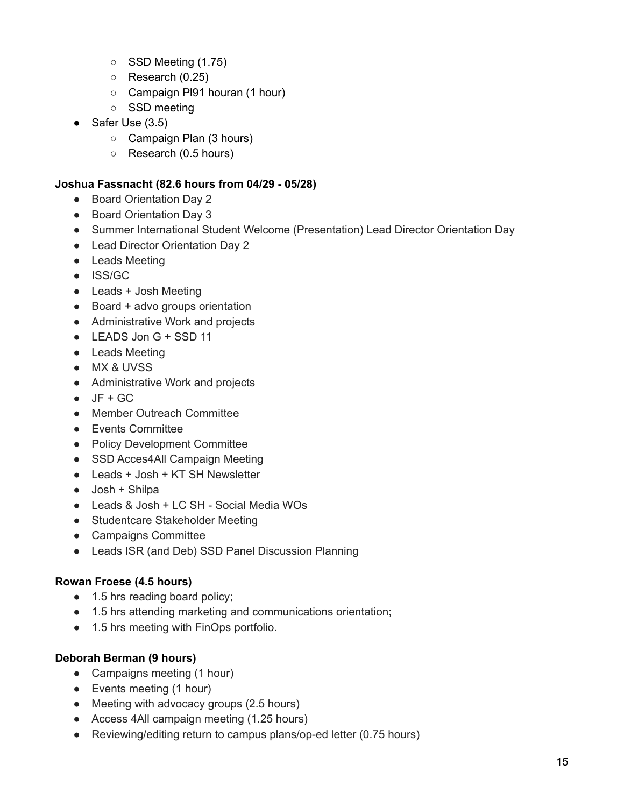- SSD Meeting (1.75)
- $\circ$  Research (0.25)
- Campaign Pl91 houran (1 hour)
- SSD meeting
- Safer Use (3.5)
	- Campaign Plan (3 hours)
	- Research (0.5 hours)

#### **Joshua Fassnacht (82.6 hours from 04/29 - 05/28)**

- Board Orientation Day 2
- Board Orientation Day 3
- Summer International Student Welcome (Presentation) Lead Director Orientation Day
- Lead Director Orientation Day 2
- Leads Meeting
- ISS/GC
- Leads + Josh Meeting
- Board + advo groups orientation
- Administrative Work and projects
- LEADS Jon G + SSD 11
- Leads Meeting
- MX & UVSS
- Administrative Work and projects
- $\bullet$  JF + GC
- Member Outreach Committee
- Events Committee
- Policy Development Committee
- SSD Acces4All Campaign Meeting
- Leads + Josh + KT SH Newsletter
- $\bullet$  Josh + Shilpa
- Leads & Josh + LC SH Social Media WOs
- Studentcare Stakeholder Meeting
- Campaigns Committee
- Leads ISR (and Deb) SSD Panel Discussion Planning

# **Rowan Froese (4.5 hours)**

- 1.5 hrs reading board policy;
- 1.5 hrs attending marketing and communications orientation;
- 1.5 hrs meeting with FinOps portfolio.

# **Deborah Berman (9 hours)**

- Campaigns meeting (1 hour)
- Events meeting (1 hour)
- Meeting with advocacy groups (2.5 hours)
- Access 4All campaign meeting (1.25 hours)
- Reviewing/editing return to campus plans/op-ed letter (0.75 hours)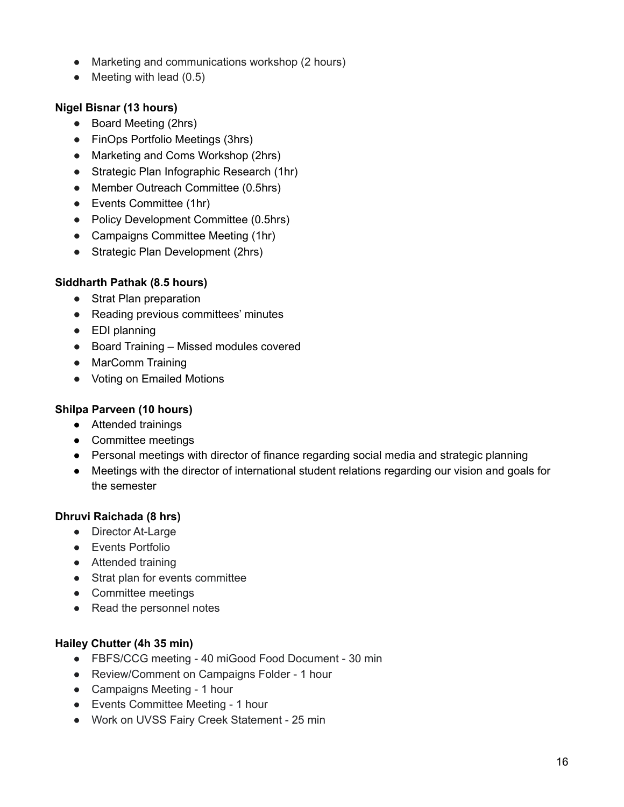- Marketing and communications workshop (2 hours)
- $\bullet$  Meeting with lead (0.5)

# **Nigel Bisnar (13 hours)**

- Board Meeting (2hrs)
- FinOps Portfolio Meetings (3hrs)
- Marketing and Coms Workshop (2hrs)
- Strategic Plan Infographic Research (1hr)
- Member Outreach Committee (0.5hrs)
- Events Committee (1hr)
- Policy Development Committee (0.5hrs)
- Campaigns Committee Meeting (1hr)
- Strategic Plan Development (2hrs)

# **Siddharth Pathak (8.5 hours)**

- Strat Plan preparation
- Reading previous committees' minutes
- EDI planning
- Board Training Missed modules covered
- MarComm Training
- Voting on Emailed Motions

# **Shilpa Parveen (10 hours)**

- Attended trainings
- Committee meetings
- Personal meetings with director of finance regarding social media and strategic planning
- Meetings with the director of international student relations regarding our vision and goals for the semester

# **Dhruvi Raichada (8 hrs)**

- Director At-Large
- Events Portfolio
- Attended training
- Strat plan for events committee
- Committee meetings
- Read the personnel notes

# **Hailey Chutter (4h 35 min)**

- FBFS/CCG meeting 40 miGood Food Document 30 min
- Review/Comment on Campaigns Folder 1 hour
- Campaigns Meeting 1 hour
- Events Committee Meeting 1 hour
- Work on UVSS Fairy Creek Statement 25 min